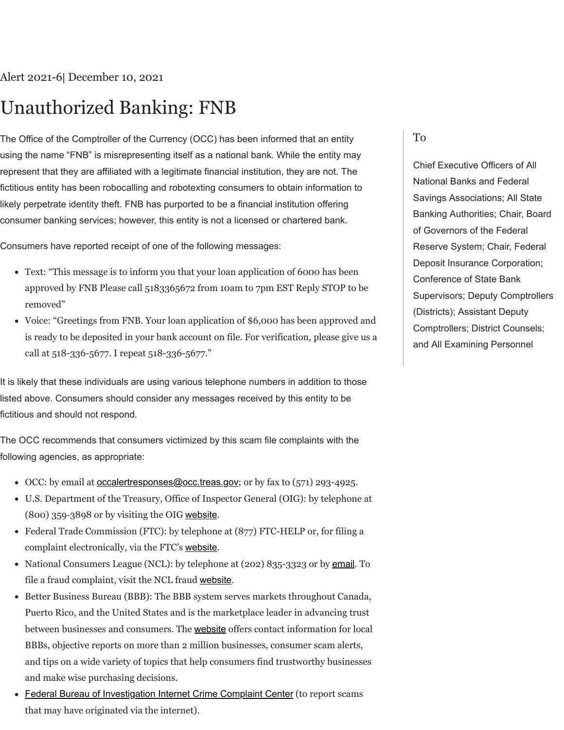## Unauthorized Banking: FNB

The Office of the Comptroller of the Currency (OCC) has been informed that an entity using the name "FNB" is misrepresenting itself as a national bank. While the entity may represent that they are affiliated with a legitimate financial institution, they are not. The fictitious entity has been robocalling and robotexting consumers to obtain information to likely perpetrate identity theft. FNB has purported to be a financial institution offering consumer banking services; however, this entity is not a licensed or chartered bank.

Consumers have reported receipt of one of the following messages:

- Text: "This message is to inform you that your loan application of 6000 has been approved by FNB Please call 5183365672 from 10am to 7pm EST Reply STOP to be removed"
- Voice: "Greetings from FNB. Your loan application of \$6,000 has been approved and is ready to be deposited in your bank account on file. For verification, please give us a call at 518-336-5677. I repeat 518-336-5677."

It is likely that these individuals are using various telephone numbers in addition to those listed above. Consumers should consider any messages received by this entity to be fictitious and should not respond.

The OCC recommends that consumers victimized by this scam file complaints with the following agencies, as appropriate:

- $\bullet$  OCC: by email at [occalertresponses@occ.treas.gov](mailto:occalertresponses@occ.treas.gov); or by fax to (571) 293-4925.
- U.S. Department of the Treasury, Office of Inspector General (OIG): by telephone at (800) 359‑3898 or by visiting the OIG [website](https://www.treasury.gov/about/organizational-structure/ig/Pages/OigOnlineHotlineForm.aspx).
- Federal Trade Commission (FTC): by telephone at (877) FTC-HELP or, for filing a complaint electronically, via the FTC's [website](http://www.ftccomplaintassistant.gov/).
- National Consumers League (NCL): by telephone at (202) 835-3323 or by [email](https://nclnet.org/contact/). To file a fraud complaint, visit the NCL fraud [website](http://www.fraud.org/).
- Better Business Bureau (BBB): The BBB system serves markets throughout Canada, Puerto Rico, and the United States and is the marketplace leader in advancing trust between businesses and consumers. The [website](http://www.bbb.org/) offers contact information for local BBBs, objective reports on more than 2 million businesses, consumer scam alerts, and tips on a wide variety of topics that help consumers find trustworthy businesses and make wise purchasing decisions.
- **[Federal Bureau of Investigation Internet Crime Complaint Center](http://www.ic3.gov/) (to report scams** that may have originated via the internet).

## To

Chief Executive Officers of All National Banks and Federal Savings Associations; All State Banking Authorities; Chair, Board of Governors of the Federal Reserve System; Chair, Federal Deposit Insurance Corporation; Conference of State Bank Supervisors; Deputy Comptrollers (Districts); Assistant Deputy Comptrollers; District Counsels; and All Examining Personnel